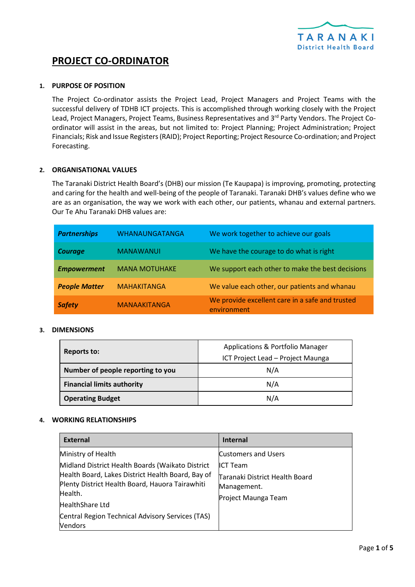

# **PROJECT CO-ORDINATOR**

## **1. PURPOSE OF POSITION**

The Project Co-ordinator assists the Project Lead, Project Managers and Project Teams with the successful delivery of TDHB ICT projects. This is accomplished through working closely with the Project Lead, Project Managers, Project Teams, Business Representatives and 3rd Party Vendors. The Project Coordinator will assist in the areas, but not limited to: Project Planning; Project Administration; Project Financials; Risk and Issue Registers(RAID); Project Reporting; Project Resource Co-ordination; and Project Forecasting.

## **2. ORGANISATIONAL VALUES**

The Taranaki District Health Board's (DHB) our mission (Te Kaupapa) is improving, promoting, protecting and caring for the health and well-being of the people of Taranaki. Taranaki DHB's values define who we are as an organisation, the way we work with each other, our patients, whanau and external partners. Our Te Ahu Taranaki DHB values are:

| <b>Partnerships</b>  | <b>WHANAUNGATANGA</b> | We work together to achieve our goals                          |
|----------------------|-----------------------|----------------------------------------------------------------|
| <b>Courage</b>       | <b>MANAWANUI</b>      | We have the courage to do what is right                        |
| <b>Empowerment</b>   | <b>MANA MOTUHAKE</b>  | We support each other to make the best decisions               |
| <b>People Matter</b> | <b>MAHAKITANGA</b>    | We value each other, our patients and whanau                   |
| <b>Safety</b>        | <b>MANAAKITANGA</b>   | We provide excellent care in a safe and trusted<br>environment |

#### **3. DIMENSIONS**

| <b>Reports to:</b>                | Applications & Portfolio Manager  |
|-----------------------------------|-----------------------------------|
|                                   | ICT Project Lead - Project Maunga |
| Number of people reporting to you | N/A                               |
| <b>Financial limits authority</b> | N/A                               |
| <b>Operating Budget</b>           | N/A                               |

#### **4. WORKING RELATIONSHIPS**

| <b>External</b>                                                                                                                                                                                                                                                                    | <b>Internal</b>                                                                                                       |
|------------------------------------------------------------------------------------------------------------------------------------------------------------------------------------------------------------------------------------------------------------------------------------|-----------------------------------------------------------------------------------------------------------------------|
| Ministry of Health<br>Midland District Health Boards (Waikato District<br>Health Board, Lakes District Health Board, Bay of<br>Plenty District Health Board, Hauora Tairawhiti<br>Health.<br>HealthShare Ltd<br>Central Region Technical Advisory Services (TAS)<br><b>Vendors</b> | <b>Customers and Users</b><br><b>ICT Team</b><br>Taranaki District Health Board<br>Management.<br>Project Maunga Team |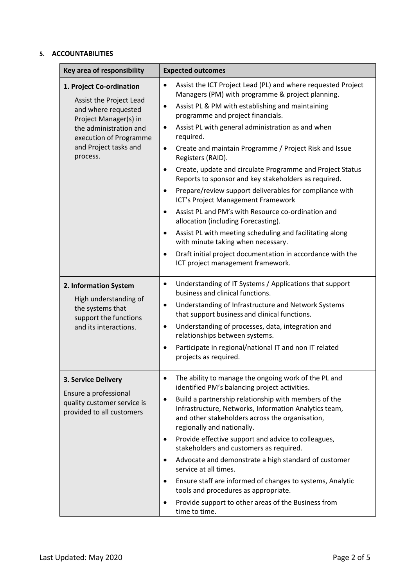# **5. ACCOUNTABILITIES**

| Key area of responsibility                                                                                                                                                                   | <b>Expected outcomes</b>                                                                                                                                                                                                                                                                                                                                                                                                                                                                                                                                                                                                                                                                                                                                                                                                                                                                                                                                                                |
|----------------------------------------------------------------------------------------------------------------------------------------------------------------------------------------------|-----------------------------------------------------------------------------------------------------------------------------------------------------------------------------------------------------------------------------------------------------------------------------------------------------------------------------------------------------------------------------------------------------------------------------------------------------------------------------------------------------------------------------------------------------------------------------------------------------------------------------------------------------------------------------------------------------------------------------------------------------------------------------------------------------------------------------------------------------------------------------------------------------------------------------------------------------------------------------------------|
| 1. Project Co-ordination<br>Assist the Project Lead<br>and where requested<br>Project Manager(s) in<br>the administration and<br>execution of Programme<br>and Project tasks and<br>process. | Assist the ICT Project Lead (PL) and where requested Project<br>$\bullet$<br>Managers (PM) with programme & project planning.<br>Assist PL & PM with establishing and maintaining<br>$\bullet$<br>programme and project financials.<br>Assist PL with general administration as and when<br>٠<br>required.<br>Create and maintain Programme / Project Risk and Issue<br>$\bullet$<br>Registers (RAID).<br>Create, update and circulate Programme and Project Status<br>٠<br>Reports to sponsor and key stakeholders as required.<br>Prepare/review support deliverables for compliance with<br>$\bullet$<br>ICT's Project Management Framework<br>Assist PL and PM's with Resource co-ordination and<br>$\bullet$<br>allocation (including Forecasting).<br>Assist PL with meeting scheduling and facilitating along<br>$\bullet$<br>with minute taking when necessary.<br>Draft initial project documentation in accordance with the<br>$\bullet$<br>ICT project management framework. |
| 2. Information System<br>High understanding of<br>the systems that<br>support the functions<br>and its interactions.                                                                         | Understanding of IT Systems / Applications that support<br>$\bullet$<br>business and clinical functions.<br>Understanding of Infrastructure and Network Systems<br>٠<br>that support business and clinical functions.<br>Understanding of processes, data, integration and<br>٠<br>relationships between systems.<br>Participate in regional/national IT and non IT related<br>projects as required.                                                                                                                                                                                                                                                                                                                                                                                                                                                                                                                                                                                    |
| 3. Service Delivery<br>Ensure a professional<br>quality customer service is<br>provided to all customers                                                                                     | The ability to manage the ongoing work of the PL and<br>identified PM's balancing project activities.<br>Build a partnership relationship with members of the<br>$\bullet$<br>Infrastructure, Networks, Information Analytics team,<br>and other stakeholders across the organisation,<br>regionally and nationally.<br>Provide effective support and advice to colleagues,<br>٠<br>stakeholders and customers as required.<br>Advocate and demonstrate a high standard of customer<br>٠<br>service at all times.<br>Ensure staff are informed of changes to systems, Analytic<br>tools and procedures as appropriate.<br>Provide support to other areas of the Business from<br>time to time.                                                                                                                                                                                                                                                                                          |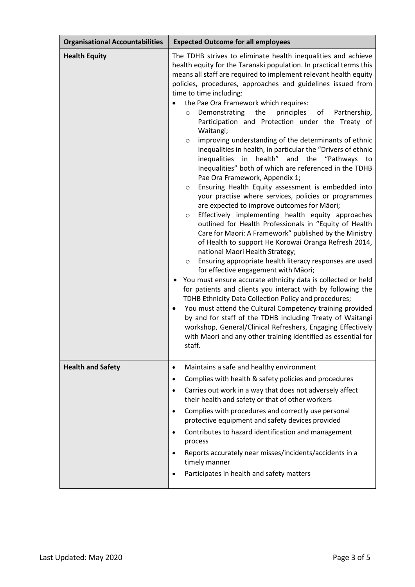| <b>Organisational Accountabilities</b> | <b>Expected Outcome for all employees</b>                                                                                                                                                                                                                                                                                                                                                                                                                                                                                                                                                                                                                                                                                                                                                                                                                                                                                                                                                                                                                                                                                                                                                                                                                                                                                                                                                                                                                                                                                                                                                                                                                                                                                                                                                                        |
|----------------------------------------|------------------------------------------------------------------------------------------------------------------------------------------------------------------------------------------------------------------------------------------------------------------------------------------------------------------------------------------------------------------------------------------------------------------------------------------------------------------------------------------------------------------------------------------------------------------------------------------------------------------------------------------------------------------------------------------------------------------------------------------------------------------------------------------------------------------------------------------------------------------------------------------------------------------------------------------------------------------------------------------------------------------------------------------------------------------------------------------------------------------------------------------------------------------------------------------------------------------------------------------------------------------------------------------------------------------------------------------------------------------------------------------------------------------------------------------------------------------------------------------------------------------------------------------------------------------------------------------------------------------------------------------------------------------------------------------------------------------------------------------------------------------------------------------------------------------|
| <b>Health Equity</b>                   | The TDHB strives to eliminate health inequalities and achieve<br>health equity for the Taranaki population. In practical terms this<br>means all staff are required to implement relevant health equity<br>policies, procedures, approaches and guidelines issued from<br>time to time including:<br>the Pae Ora Framework which requires:<br>of<br>Demonstrating<br>the<br>principles<br>Partnership,<br>$\circ$<br>Participation and Protection under the Treaty of<br>Waitangi;<br>improving understanding of the determinants of ethnic<br>$\circ$<br>inequalities in health, in particular the "Drivers of ethnic<br>inequalities in health" and the "Pathways to<br>Inequalities" both of which are referenced in the TDHB<br>Pae Ora Framework, Appendix 1;<br>Ensuring Health Equity assessment is embedded into<br>$\circ$<br>your practise where services, policies or programmes<br>are expected to improve outcomes for Māori;<br>Effectively implementing health equity approaches<br>$\circ$<br>outlined for Health Professionals in "Equity of Health<br>Care for Maori: A Framework" published by the Ministry<br>of Health to support He Korowai Oranga Refresh 2014,<br>national Maori Health Strategy;<br>Ensuring appropriate health literacy responses are used<br>$\circ$<br>for effective engagement with Māori;<br>You must ensure accurate ethnicity data is collected or held<br>for patients and clients you interact with by following the<br>TDHB Ethnicity Data Collection Policy and procedures;<br>You must attend the Cultural Competency training provided<br>$\bullet$<br>by and for staff of the TDHB including Treaty of Waitangi<br>workshop, General/Clinical Refreshers, Engaging Effectively<br>with Maori and any other training identified as essential for<br>staff. |
| <b>Health and Safety</b>               | Maintains a safe and healthy environment<br>$\bullet$<br>Complies with health & safety policies and procedures<br>$\bullet$<br>Carries out work in a way that does not adversely affect<br>$\bullet$                                                                                                                                                                                                                                                                                                                                                                                                                                                                                                                                                                                                                                                                                                                                                                                                                                                                                                                                                                                                                                                                                                                                                                                                                                                                                                                                                                                                                                                                                                                                                                                                             |
|                                        | their health and safety or that of other workers<br>Complies with procedures and correctly use personal<br>$\bullet$                                                                                                                                                                                                                                                                                                                                                                                                                                                                                                                                                                                                                                                                                                                                                                                                                                                                                                                                                                                                                                                                                                                                                                                                                                                                                                                                                                                                                                                                                                                                                                                                                                                                                             |
|                                        | protective equipment and safety devices provided                                                                                                                                                                                                                                                                                                                                                                                                                                                                                                                                                                                                                                                                                                                                                                                                                                                                                                                                                                                                                                                                                                                                                                                                                                                                                                                                                                                                                                                                                                                                                                                                                                                                                                                                                                 |
|                                        | Contributes to hazard identification and management<br>$\bullet$<br>process                                                                                                                                                                                                                                                                                                                                                                                                                                                                                                                                                                                                                                                                                                                                                                                                                                                                                                                                                                                                                                                                                                                                                                                                                                                                                                                                                                                                                                                                                                                                                                                                                                                                                                                                      |
|                                        | Reports accurately near misses/incidents/accidents in a<br>$\bullet$<br>timely manner                                                                                                                                                                                                                                                                                                                                                                                                                                                                                                                                                                                                                                                                                                                                                                                                                                                                                                                                                                                                                                                                                                                                                                                                                                                                                                                                                                                                                                                                                                                                                                                                                                                                                                                            |
|                                        | Participates in health and safety matters                                                                                                                                                                                                                                                                                                                                                                                                                                                                                                                                                                                                                                                                                                                                                                                                                                                                                                                                                                                                                                                                                                                                                                                                                                                                                                                                                                                                                                                                                                                                                                                                                                                                                                                                                                        |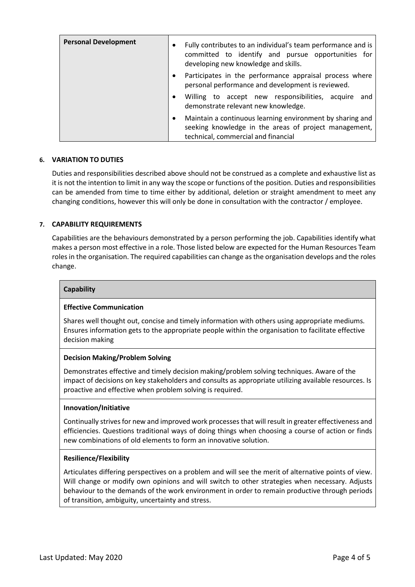| <b>Personal Development</b> | Fully contributes to an individual's team performance and is<br>committed to identify and pursue opportunities for<br>developing new knowledge and skills. |
|-----------------------------|------------------------------------------------------------------------------------------------------------------------------------------------------------|
|                             | Participates in the performance appraisal process where<br>personal performance and development is reviewed.                                               |
|                             | Willing to accept new responsibilities, acquire<br>and<br>demonstrate relevant new knowledge.                                                              |
|                             | Maintain a continuous learning environment by sharing and<br>seeking knowledge in the areas of project management,<br>technical, commercial and financial  |

# **6. VARIATION TO DUTIES**

Duties and responsibilities described above should not be construed as a complete and exhaustive list as it is not the intention to limit in any way the scope or functions of the position. Duties and responsibilities can be amended from time to time either by additional, deletion or straight amendment to meet any changing conditions, however this will only be done in consultation with the contractor / employee.

# **7. CAPABILITY REQUIREMENTS**

Capabilities are the behaviours demonstrated by a person performing the job. Capabilities identify what makes a person most effective in a role. Those listed below are expected for the Human Resources Team roles in the organisation. The required capabilities can change as the organisation develops and the roles change.

### **Capability**

## **Effective Communication**

Shares well thought out, concise and timely information with others using appropriate mediums. Ensures information gets to the appropriate people within the organisation to facilitate effective decision making

## **Decision Making/Problem Solving**

Demonstrates effective and timely decision making/problem solving techniques. Aware of the impact of decisions on key stakeholders and consults as appropriate utilizing available resources. Is proactive and effective when problem solving is required.

#### **Innovation/Initiative**

Continually strives for new and improved work processes that will result in greater effectiveness and efficiencies. Questions traditional ways of doing things when choosing a course of action or finds new combinations of old elements to form an innovative solution.

#### **Resilience/Flexibility**

Articulates differing perspectives on a problem and will see the merit of alternative points of view. Will change or modify own opinions and will switch to other strategies when necessary. Adjusts behaviour to the demands of the work environment in order to remain productive through periods of transition, ambiguity, uncertainty and stress.